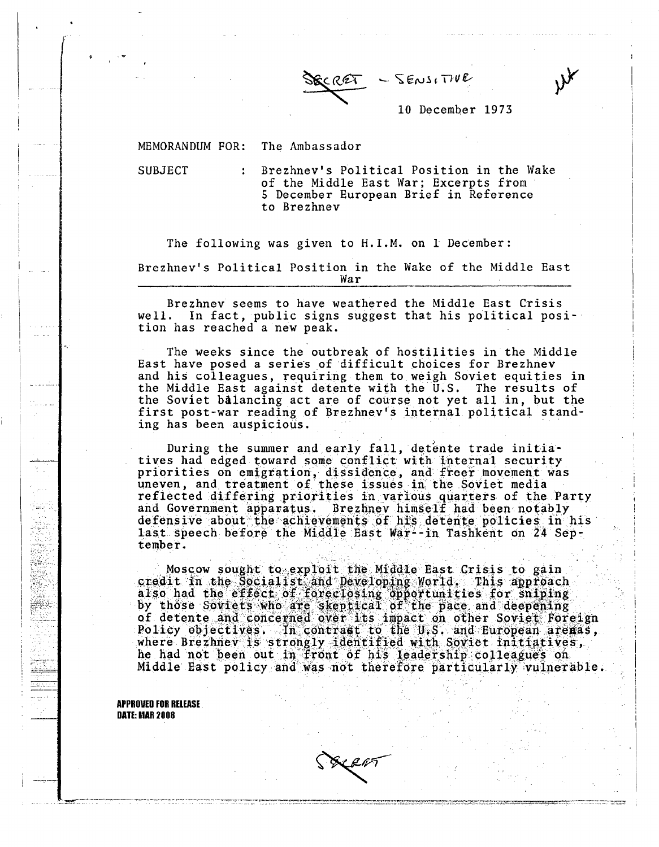

10 December 1973

MEMORANDUM FOR: The Ambassador

SUBJECT : Brezhnev's Political Position in the Wake of the Middle East **War; Excerpts from 5 December European** Brief **in Reference to Brezhnev**

The following **was given** to H.I.M. **on 1 December: Brezhnev's** Political **Position** in the Wake of the Middle East **War**

**Brezhnev seems to have** weathered the Middle **East** Crisis well. In fact, **public signs suggest that** his political position **has reached a new peak.**

The weeks **since the** outbreak of hostilities in the Middle **East have posed a series** of difficult **choices for Brezhnev and his colleagues, requiring them** to weigh Soviet **equities in** the Middle **East against detente** with the U.S. The **results of** the Soviet **balancing act are of course** not yet all in, but the **first post-war reading of Brezhnev's internal** political standing **has been auspicious.**

**During the summer** and early fall, **detente** trade initiatives **had edged toward some** conflict with internal **security priorities on emigration,** dissidence, **and freer movement was uneven, and treatment of these issues** in the **Soviet media reflected differing priorities in various quarters** of the Party **and Government apparatus. Brezhnev** himself had been notably defensive about the achievements of his detente policies in his **last speech before the Middle East War--in** Tashkent **on 24 September.**

**Moscow sought** to exploit the **Middle East** Crisis to **gain** credit in the Socialist and Developing World. This approach<br>also had the effect of foreclosing opportunities for sniping \_ by those Soviets who are skeptical of **the pace** and deepening **of detente** and concerned over its impact on other Soviet Foreign Policy objectives. Tn contrast to the US. and European **arenas,** where **Brezhnev** is strongly identified with Soviet initiatives, **he had** not been **out** in front of his leadership **colleagues on Middle** East policy **and was not therefore** particularly **vulnerable.**

> **APPROVED FOR RELEASE DATE: MAR 2008**

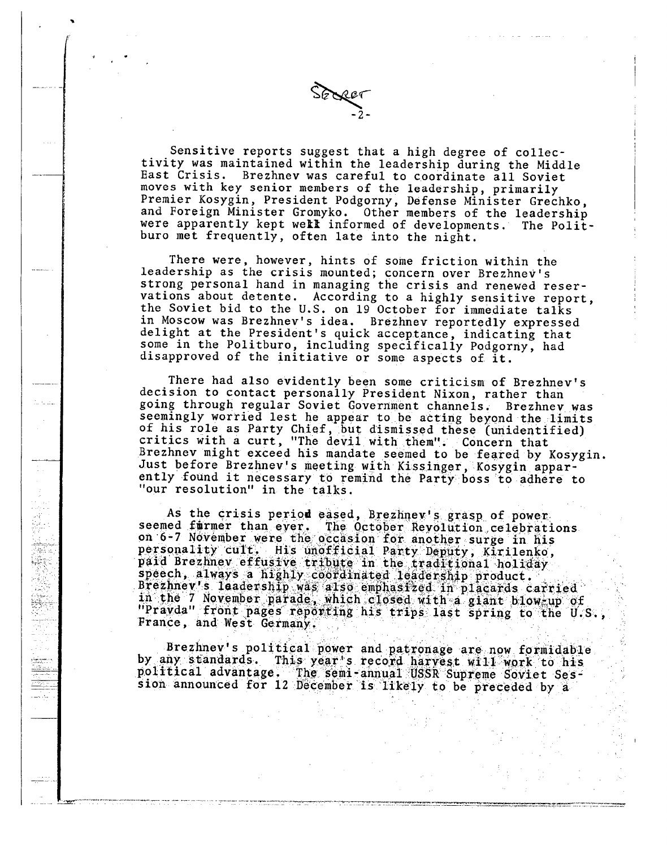**Sensitive reports suggest that a high degree of collectivity was maintained within the leadership during the Middle East Crisis. Brezhnev was careful to coordinate all Soviet moves with key senior members of the leadership, primarily** and Foreign Minister Gromyko. Other members of the leadership **were apparently kept wekl informed of developments. The Politburo met frequently, often late into the night.**

**-2-**

**There were, however, hints of some friction within the leadership as the crisis mounted; concern over Brezhnev's strong personal hand in managing the crisis and renewed reser**the Soviet bid to the U.S. on 19 October for immediate talks **in Moscow was Brezhnev's idea. Brezhnev reportedly expressed delight at the President's quick acceptance, indicating that some in the Politburo, including specifically Podgorny, had disapproved of the initiative or some aspects of it.**

**There had also evidently been some criticism of Brezhnev's decision to contact personally President Nixon, rather than going through regular Soviet Government channels. Brezhnev was seemingly worried lest he appear to be acting beyond the limits of his role as Party Chief, but dismissed these (unidentified) critics with a curt, "The devil with** them". **Concern that Brezhnev might exceed his mandate seemed to be feared by Kosygin. Just before Brezhnev's meeting with Kissinger, Kosygin apparently found it necessary to remind the Party boss to adhere to "our resolution" in the talks.**

**As the crisis period eased, Brezhnev's grasp of power. seemed firmer than ever. The October Revolution celebrations on 6-7 November were the occasion for another surge in his** paid Brezhnev effusive tribute in the traditional holiday<br>speech, always a highly coordinated leadership product.<br>Brezhnev's leadership was also emphasized in placards carried **in the 7 November parade, which closed with a giant blw-,up of "Pravda" front pages reporting his trips last spring to the U.S., France, and West Germany.**

W iya<br>Viti

W

탄탄<br>1973

**Brezhnev's political power and patronage are now formidable by any** standards. This **year's record** harvest **will work to his political advantage. The semi-annual USSR Supreme** Soviet Ses**sion announced for 12 December is likely to be preceded by a**